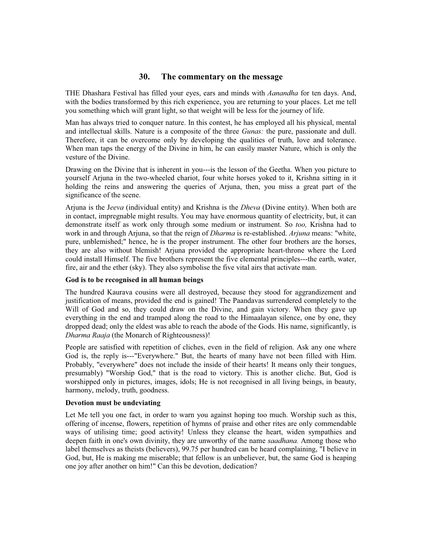# **30. The commentary on the message**

THE Dhashara Festival has filled your eyes, ears and minds with *Aanandha* for ten days. And, with the bodies transformed by this rich experience, you are returning to your places. Let me tell you something which will grant light, so that weight will be less for the journey of life.

Man has always tried to conquer nature. In this contest, he has employed all his physical, mental and intellectual skills. Nature is a composite of the three *Gunas:* the pure, passionate and dull. Therefore, it can be overcome only by developing the qualities of truth, love and tolerance. When man taps the energy of the Divine in him, he can easily master Nature, which is only the vesture of the Divine.

Drawing on the Divine that is inherent in you---is the lesson of the Geetha. When you picture to yourself Arjuna in the two-wheeled chariot, four white horses yoked to it, Krishna sitting in it holding the reins and answering the queries of Arjuna, then, you miss a great part of the significance of the scene.

Arjuna is the J*eeva* (individual entity) and Krishna is the *Dheva* (Divine entity). When both are in contact, impregnable might results. You may have enormous quantity of electricity, but, it can demonstrate itself as work only through some medium or instrument. So *too,* Krishna had to work in and through Arjuna, so that the reign of *Dharma* is re-established. *Arjuna* means: "white, pure, unblemished;" hence, he is the proper instrument. The other four brothers are the horses, they are also without blemish! Arjuna provided the appropriate heart-throne where the Lord could install Himself. The five brothers represent the five elemental principles---the earth, water, fire, air and the ether (sky). They also symbolise the five vital airs that activate man.

### **God is to be recognised in all human beings**

The hundred Kaurava cousins were all destroyed, because they stood for aggrandizement and justification of means, provided the end is gained! The Paandavas surrendered completely to the Will of God and so, they could draw on the Divine, and gain victory. When they gave up everything in the end and tramped along the road to the Himaalayan silence, one by one, they dropped dead; only the eldest was able to reach the abode of the Gods. His name, significantly, is *Dharma Raaja* (the Monarch of Righteousness)!

People are satisfied with repetition of cliches, even in the field of religion. Ask any one where God is, the reply is---"Everywhere." But, the hearts of many have not been filled with Him. Probably, "everywhere" does not include the inside of their hearts! It means only their tongues, presumably) "Worship God," that is the road to victory. This is another cliche. But, God is worshipped only in pictures, images, idols; He is not recognised in all living beings, in beauty, harmony, melody, truth, goodness.

### **Devotion must be undeviating**

Let Me tell you one fact, in order to warn you against hoping too much. Worship such as this, offering of incense, flowers, repetition of hymns of praise and other rites are only commendable ways of utilising time; good activity! Unless they cleanse the heart, widen sympathies and deepen faith in one's own divinity, they are unworthy of the name *saadhana.* Among those who label themselves as theists (believers), 99.75 per hundred can be heard complaining, "I believe in God, but, He is making me miserable; that fellow is an unbeliever, but, the same God is heaping one joy after another on him!" Can this be devotion, dedication?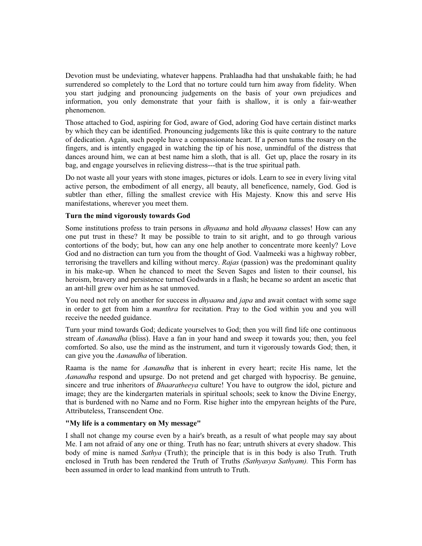Devotion must be undeviating, whatever happens. Prahlaadha had that unshakable faith; he had surrendered so completely to the Lord that no torture could turn him away from fidelity. When you start judging and pronouncing judgements on the basis of your own prejudices and information, you only demonstrate that your faith is shallow, it is only a fair-weather phenomenon.

Those attached to God, aspiring for God, aware of God, adoring God have certain distinct marks by which they can be identified. Pronouncing judgements like this is quite contrary to the nature of dedication. Again, such people have a compassionate heart. If a person tums the rosary on the fingers, and is intently engaged in watching the tip of his nose, unmindful of the distress that dances around him, we can at best name him a sloth, that is all. Get up, place the rosary in its bag, and engage yourselves in relieving distress---that is the true spiritual path.

Do not waste all your years with stone images, pictures or idols. Learn to see in every living vital active person, the embodiment of all energy, all beauty, all beneficence, namely, God. God is subtler than ether, filling the smallest crevice with His Majesty. Know this and serve His manifestations, wherever you meet them.

## **Turn the mind vigorously towards God**

Some institutions profess to train persons in *dhyaana* and hold *dhyaana* classes! How can any one put trust in these? It may be possible to train to sit aright, and to go through various contortions of the body; but, how can any one help another to concentrate more keenly? Love God and no distraction can turn you from the thought of God. Vaalmeeki was a highway robber, terrorising the travellers and killing without mercy. *Rajas* (passion) was the predominant quality in his make-up. When he chanced to meet the Seven Sages and listen to their counsel, his heroism, bravery and persistence turned Godwards in a flash; he became so ardent an ascetic that an ant-hill grew over him as he sat unmoved.

You need not rely on another for success in *dhyaana* and *japa* and await contact with some sage in order to get from him a *manthra* for recitation. Pray to the God within you and you will receive the needed guidance.

Turn your mind towards God; dedicate yourselves to God; then you will find life one continuous stream of *Aanandha* (bliss). Have a fan in your hand and sweep it towards you; then, you feel comforted. So also, use the mind as the instrument, and turn it vigorously towards God; then, it can give you the *Aanandha* of liberation.

Raama is the name for *Aanandha* that is inherent in every heart; recite His name, let the *Aanandha* respond and upsurge. Do not pretend and get charged with hypocrisy. Be genuine, sincere and true inheritors of *Bhaaratheeya* culture! You have to outgrow the idol, picture and image; they are the kindergarten materials in spiritual schools; seek to know the Divine Energy, that is burdened with no Name and no Form. Rise higher into the empyrean heights of the Pure, Attributeless, Transcendent One.

### **"My life is a commentary on My message"**

I shall not change my course even by a hair's breath, as a result of what people may say about Me. I am not afraid of any one or thing. Truth has no fear; untruth shivers at every shadow. This body of mine is named *Sathya* (Truth); the principle that is in this body is also Truth. Truth enclosed in Truth has been rendered the Truth of Truths *(Sathyasya Sathyam).* This Form has been assumed in order to lead mankind from untruth to Truth.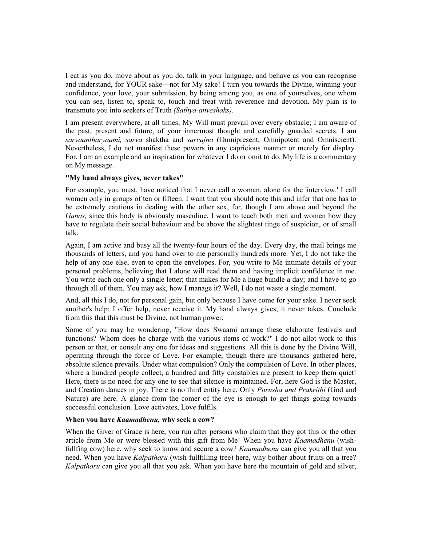I eat as you do, move about as you do, talk in your language, and behave as you can recognise and understand, for YOUR sake---not for My sake! I turn you towards the Divine, winning your confidence, your love, your submission, by being among you, as one of yourselves, one whom you can see, listen to, speak to, touch and treat with reverence and devotion. My plan is to transmute you into seekers of Truth *(Sathya-anveshaks).*

I am present everywhere, at all times; My Will must prevail over every obstacle; I am aware of the past, present and future, of your innermost thought and carefully guarded secrets. I am *sarvaantharyaami, sarva* shaktha and *sarvajna* (Omnipresent, Omnipotent and Omniscient). Nevertheless, I do not manifest these powers in any capricious manner or merely for display. For, I am an example and an inspiration for whatever I do or omit to do. My life is a commentary on My message.

### **"My hand always gives, never takes"**

For example, you must, have noticed that I never call a woman, alone for the 'interview.' I call women only in groups of ten or fifteen. I want that you should note this and infer that one has to be extremely cautious in dealing with the other sex, for, though I am above and beyond the *Gunas,* since this body is obviously masculine, I want to teach both men and women how they have to regulate their social behaviour and be above the slightest tinge of suspicion, or of small talk.

Again, I am active and busy all the twenty-four hours of the day. Every day, the mail brings me thousands of letters, and you hand over to me personally hundreds more. Yet, I do not take the help of any one else, even to open the envelopes. For, you write to Me intimate details of your personal problems, believing that I alone will read them and having implicit confidence in me. You write each one only a single letter; that makes for Me a huge bundle a day; and I have to go through all of them. You may ask, how I manage it? Well, I do not waste a single moment.

And, all this I do, not for personal gain, but only because I have come for your sake. I never seek another's help; I offer help, never receive it. My hand always gives; it never takes. Conclude from this that this must be Divine, not human power.

Some of you may be wondering, "How does Swaami arrange these elaborate festivals and functions? Whom does he charge with the various items of work?" I do not allot work to this person or that, or consult any one for ideas and suggestions. All this is done by the Divine Will, operating through the force of Love. For example, though there are thousands gathered here, absolute silence prevails. Under what compulsion? Only the compulsion of Love. In other places, where a hundred people collect, a hundred and fifty constables are present to keep them quiet! Here, there is no need for any one to see that silence is maintained. For, here God is the Master, and Creation dances in joy. There is no third entity here. Only *Purusha and Prakrithi* (God and Nature) are here. A glance from the comer of the eye is enough to get things going towards successful conclusion. Love activates, Love fulfils.

### **When you have** *Kaamadhenu,* **why seek a cow?**

When the Giver of Grace is here, you run after persons who claim that they got this or the other article from Me or were blessed with this gift from Me! When you have *Kaamadhenu* (wishfullfing cow) here, why seek to know and secure a cow? *Kaamadhenu* can give you all that you need. When you have *Kalpatharu* (wish-fullfilling tree) here, why bother about fruits on a tree? *Kalpatharu* can give you all that you ask. When you have here the mountain of gold and silver,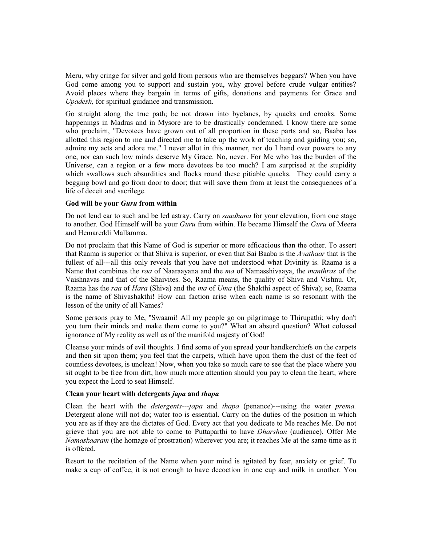Meru, why cringe for silver and gold from persons who are themselves beggars? When you have God come among you to support and sustain you, why grovel before crude vulgar entities? Avoid places where they bargain in terms of gifts, donations and payments for Grace and *Upadesh,* for spiritual guidance and transmission.

Go straight along the true path; be not drawn into byelanes, by quacks and crooks. Some happenings in Madras and in Mysore are to be drastically condemned. I know there are some who proclaim, "Devotees have grown out of all proportion in these parts and so, Baaba has allotted this region to me and directed me to take up the work of teaching and guiding you; so, admire my acts and adore me." I never allot in this manner, nor do I hand over powers to any one, nor can such low minds deserve My Grace. No, never. For Me who has the burden of the Universe, can a region or a few more devotees be too much? I am surprised at the stupidity which swallows such absurdities and flocks round these pitiable quacks. They could carry a begging bowl and go from door to door; that will save them from at least the consequences of a life of deceit and sacrilege.

#### **God will be your** *Guru* **from within**

Do not lend ear to such and be led astray. Carry on *saadhana* for your elevation, from one stage to another. God Himself will be your *Guru* from within. He became Himself the *Guru* of Meera and Hemareddi Mallamma.

Do not proclaim that this Name of God is superior or more efficacious than the other. To assert that Raama is superior or that Shiva is superior, or even that Sai Baaba is the *Avathaar* that is the fullest of all---all this only reveals that you have not understood what Divinity is. Raama is a Name that combines the *raa* of Naaraayana and the *ma* of Namasshivaaya, the *manthras* of the Vaishnavas and that of the Shaivites. So, Raama means, the quality of Shiva and Vishnu. Or, Raama has the *raa* of *Hara* (Shiva) and the *ma* of *Uma* (the Shakthi aspect of Shiva); so, Raama is the name of Shivashakthi! How can faction arise when each name is so resonant with the lesson of the unity of all Names?

Some persons pray to Me, "Swaami! All my people go on pilgrimage to Thirupathi; why don't you turn their minds and make them come to you?" What an absurd question? What colossal ignorance of My reality as well as of the manifold majesty of God!

Cleanse your minds of evil thoughts. I find some of you spread your handkerchiefs on the carpets and then sit upon them; you feel that the carpets, which have upon them the dust of the feet of countless devotees, is unclean! Now, when you take so much care to see that the place where you sit ought to be free from dirt, how much more attention should you pay to clean the heart, where you expect the Lord to seat Himself.

### **Clean your heart with detergents** *japa* **and** *thapa*

Clean the heart with the *detergents---japa* and *thapa* (penance)---using the water *prema.* Detergent alone will not do; water too is essential. Carry on the duties of the position in which you are as if they are the dictates of God. Every act that you dedicate to Me reaches Me. Do not grieve that you are not able to come to Puttaparthi to have *Dharshan* (audience). Offer Me *Namaskaaram* (the homage of prostration) wherever you are; it reaches Me at the same time as it is offered.

Resort to the recitation of the Name when your mind is agitated by fear, anxiety or grief. To make a cup of coffee, it is not enough to have decoction in one cup and milk in another. You